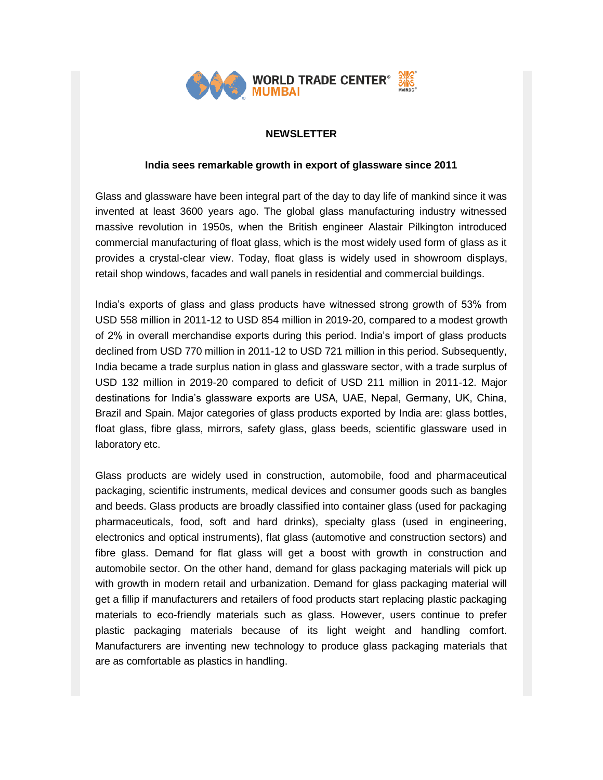

# **NEWSLETTER**

## **India sees remarkable growth in export of glassware since 2011**

Glass and glassware have been integral part of the day to day life of mankind since it was invented at least 3600 years ago. The global glass manufacturing industry witnessed massive revolution in 1950s, when the British engineer Alastair Pilkington introduced commercial manufacturing of float glass, which is the most widely used form of glass as it provides a crystal-clear view. Today, float glass is widely used in showroom displays, retail shop windows, facades and wall panels in residential and commercial buildings.

India's exports of glass and glass products have witnessed strong growth of 53% from USD 558 million in 2011-12 to USD 854 million in 2019-20, compared to a modest growth of 2% in overall merchandise exports during this period. India's import of glass products declined from USD 770 million in 2011-12 to USD 721 million in this period. Subsequently, India became a trade surplus nation in glass and glassware sector, with a trade surplus of USD 132 million in 2019-20 compared to deficit of USD 211 million in 2011-12. Major destinations for India's glassware exports are USA, UAE, Nepal, Germany, UK, China, Brazil and Spain. Major categories of glass products exported by India are: glass bottles, float glass, fibre glass, mirrors, safety glass, glass beeds, scientific glassware used in laboratory etc.

Glass products are widely used in construction, automobile, food and pharmaceutical packaging, scientific instruments, medical devices and consumer goods such as bangles and beeds. Glass products are broadly classified into container glass (used for packaging pharmaceuticals, food, soft and hard drinks), specialty glass (used in engineering, electronics and optical instruments), flat glass (automotive and construction sectors) and fibre glass. Demand for flat glass will get a boost with growth in construction and automobile sector. On the other hand, demand for glass packaging materials will pick up with growth in modern retail and urbanization. Demand for glass packaging material will get a fillip if manufacturers and retailers of food products start replacing plastic packaging materials to eco-friendly materials such as glass. However, users continue to prefer plastic packaging materials because of its light weight and handling comfort. Manufacturers are inventing new technology to produce glass packaging materials that are as comfortable as plastics in handling.